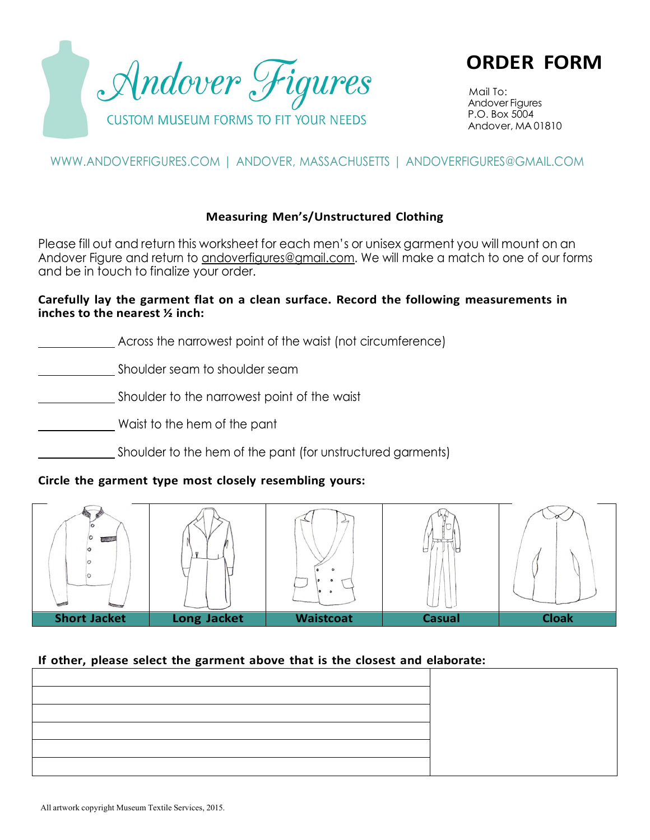

**ORDER FORM**

Mail To: Andover Figures P.O. Box 5004 Andover, MA 01810

# [WWW.ANDOVERFIGURES.COM](http://www.andoverfigures.com/) | ANDOVER, MASSACHUSETTS | [ANDOVERFIGURES@GMAIL.COM](mailto:ANDOVERFIGURES@GMAIL.COM)

## **Measuring Men's/Unstructured Clothing**

Please fill out and return this worksheet for each men's or unisex garment you will mount on an Andover Figure and return to [andoverfigures@gmail.com. W](mailto:andoverfigures@gmail.com)e will make a match to one of our forms and be in touch to finalize your order.

#### **Carefully lay the garment flat on a clean surface. Record the following measurements in inches to the nearest ½ inch:**

Across the narrowest point of the waist (not circumference)

Shoulder seam to shoulder seam

Shoulder to the narrowest point of the waist

Waist to the hem of the pant

Shoulder to the hem of the pant (for unstructured garments)

## **Circle the garment type most closely resembling yours:**



## **If other, please select the garment above that is the closest and elaborate:**